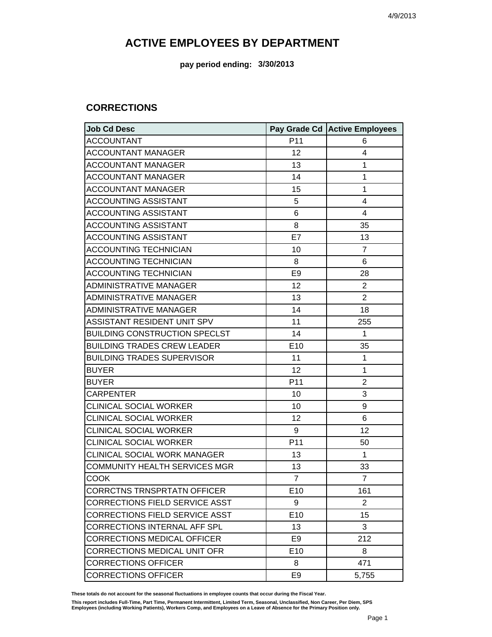**pay period ending: 3/30/2013**

#### **CORRECTIONS**

| <b>Job Cd Desc</b>                    |                 | Pay Grade Cd Active Employees |
|---------------------------------------|-----------------|-------------------------------|
| <b>ACCOUNTANT</b>                     | P11             | 6                             |
| <b>ACCOUNTANT MANAGER</b>             | 12              | 4                             |
| <b>ACCOUNTANT MANAGER</b>             | 13              | 1                             |
| <b>ACCOUNTANT MANAGER</b>             | 14              | 1                             |
| <b>ACCOUNTANT MANAGER</b>             | 15              | 1                             |
| <b>ACCOUNTING ASSISTANT</b>           | 5               | 4                             |
| <b>ACCOUNTING ASSISTANT</b>           | 6               | $\overline{4}$                |
| <b>ACCOUNTING ASSISTANT</b>           | 8               | 35                            |
| <b>ACCOUNTING ASSISTANT</b>           | E7              | 13                            |
| <b>ACCOUNTING TECHNICIAN</b>          | 10              | $\overline{7}$                |
| <b>ACCOUNTING TECHNICIAN</b>          | 8               | 6                             |
| <b>ACCOUNTING TECHNICIAN</b>          | E <sub>9</sub>  | 28                            |
| <b>ADMINISTRATIVE MANAGER</b>         | 12              | $\overline{2}$                |
| <b>ADMINISTRATIVE MANAGER</b>         | 13              | $\overline{2}$                |
| <b>ADMINISTRATIVE MANAGER</b>         | 14              | 18                            |
| ASSISTANT RESIDENT UNIT SPV           | 11              | 255                           |
| <b>BUILDING CONSTRUCTION SPECLST</b>  | 14              | $\mathbf{1}$                  |
| <b>BUILDING TRADES CREW LEADER</b>    | E10             | 35                            |
| <b>BUILDING TRADES SUPERVISOR</b>     | 11              | 1                             |
| <b>BUYER</b>                          | 12              | $\mathbf{1}$                  |
| <b>BUYER</b>                          | P11             | $\overline{2}$                |
| <b>CARPENTER</b>                      | 10              | 3                             |
| <b>CLINICAL SOCIAL WORKER</b>         | 10              | 9                             |
| <b>CLINICAL SOCIAL WORKER</b>         | 12              | 6                             |
| <b>CLINICAL SOCIAL WORKER</b>         | 9               | 12                            |
| <b>CLINICAL SOCIAL WORKER</b>         | P11             | 50                            |
| CLINICAL SOCIAL WORK MANAGER          | 13              | $\mathbf{1}$                  |
| <b>COMMUNITY HEALTH SERVICES MGR</b>  | 13              | 33                            |
| <b>COOK</b>                           | $\overline{7}$  | $\overline{7}$                |
| <b>CORRCTNS TRNSPRTATN OFFICER</b>    | E <sub>10</sub> | 161                           |
| <b>CORRECTIONS FIELD SERVICE ASST</b> | 9               | 2                             |
| <b>CORRECTIONS FIELD SERVICE ASST</b> | E10             | 15                            |
| <b>CORRECTIONS INTERNAL AFF SPL</b>   | 13              | 3                             |
| <b>CORRECTIONS MEDICAL OFFICER</b>    | E <sub>9</sub>  | 212                           |
| <b>CORRECTIONS MEDICAL UNIT OFR</b>   | E10             | 8                             |
| <b>CORRECTIONS OFFICER</b>            | 8               | 471                           |
| <b>CORRECTIONS OFFICER</b>            | E <sub>9</sub>  | 5,755                         |

**These totals do not account for the seasonal fluctuations in employee counts that occur during the Fiscal Year.**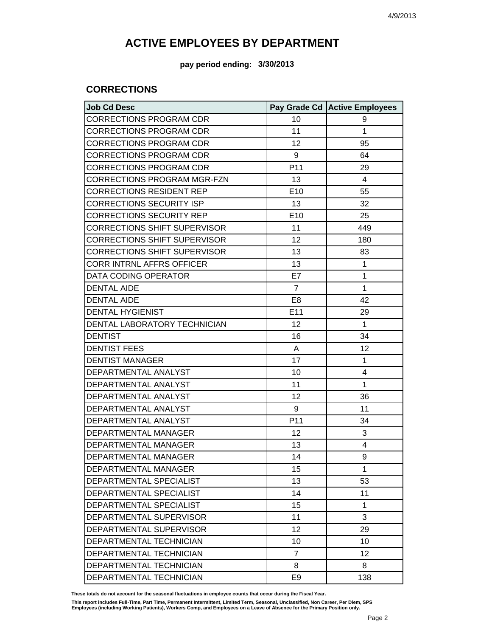**pay period ending: 3/30/2013**

### **CORRECTIONS**

| <b>Job Cd Desc</b>                  |                 | Pay Grade Cd Active Employees |
|-------------------------------------|-----------------|-------------------------------|
| <b>CORRECTIONS PROGRAM CDR</b>      | 10              | 9                             |
| <b>CORRECTIONS PROGRAM CDR</b>      | 11              | 1                             |
| <b>CORRECTIONS PROGRAM CDR</b>      | 12              | 95                            |
| <b>CORRECTIONS PROGRAM CDR</b>      | 9               | 64                            |
| <b>CORRECTIONS PROGRAM CDR</b>      | P <sub>11</sub> | 29                            |
| CORRECTIONS PROGRAM MGR-FZN         | 13              | 4                             |
| <b>CORRECTIONS RESIDENT REP</b>     | E10             | 55                            |
| <b>CORRECTIONS SECURITY ISP</b>     | 13              | 32                            |
| <b>CORRECTIONS SECURITY REP</b>     | E10             | 25                            |
| <b>CORRECTIONS SHIFT SUPERVISOR</b> | 11              | 449                           |
| <b>CORRECTIONS SHIFT SUPERVISOR</b> | 12              | 180                           |
| <b>CORRECTIONS SHIFT SUPERVISOR</b> | 13              | 83                            |
| <b>CORR INTRNL AFFRS OFFICER</b>    | 13              | 1                             |
| DATA CODING OPERATOR                | E7              | 1                             |
| <b>DENTAL AIDE</b>                  | $\overline{7}$  | 1                             |
| <b>DENTAL AIDE</b>                  | E <sub>8</sub>  | 42                            |
| <b>DENTAL HYGIENIST</b>             | E11             | 29                            |
| DENTAL LABORATORY TECHNICIAN        | 12              | 1                             |
| <b>DENTIST</b>                      | 16              | 34                            |
| <b>DENTIST FEES</b>                 | A               | 12                            |
| <b>DENTIST MANAGER</b>              | 17              | 1                             |
| DEPARTMENTAL ANALYST                | 10              | 4                             |
| DEPARTMENTAL ANALYST                | 11              | 1                             |
| DEPARTMENTAL ANALYST                | 12              | 36                            |
| DEPARTMENTAL ANALYST                | 9               | 11                            |
| DEPARTMENTAL ANALYST                | P <sub>11</sub> | 34                            |
| DEPARTMENTAL MANAGER                | 12              | 3                             |
| DEPARTMENTAL MANAGER                | 13              | 4                             |
| DEPARTMENTAL MANAGER                | 14              | 9                             |
| DEPARTMENTAL MANAGER                | 15              | 1                             |
| DEPARTMENTAL SPECIALIST             | 13              | 53                            |
| DEPARTMENTAL SPECIALIST             | 14              | 11                            |
| DEPARTMENTAL SPECIALIST             | 15              | 1                             |
| DEPARTMENTAL SUPERVISOR             | 11              | 3                             |
| DEPARTMENTAL SUPERVISOR             | 12              | 29                            |
| DEPARTMENTAL TECHNICIAN             | 10              | 10                            |
| DEPARTMENTAL TECHNICIAN             | $\overline{7}$  | 12                            |
| DEPARTMENTAL TECHNICIAN             | 8               | 8                             |
| DEPARTMENTAL TECHNICIAN             | E <sub>9</sub>  | 138                           |

**These totals do not account for the seasonal fluctuations in employee counts that occur during the Fiscal Year.**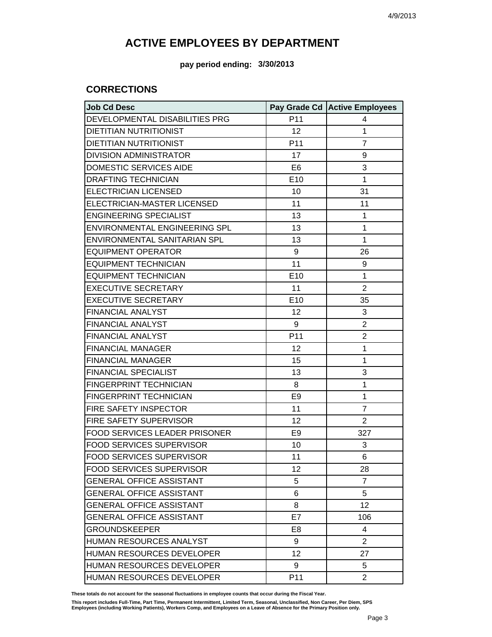**pay period ending: 3/30/2013**

### **CORRECTIONS**

| <b>Job Cd Desc</b>              |                 | Pay Grade Cd Active Employees |
|---------------------------------|-----------------|-------------------------------|
| DEVELOPMENTAL DISABILITIES PRG  | P11             | 4                             |
| <b>DIETITIAN NUTRITIONIST</b>   | 12              | 1                             |
| <b>DIETITIAN NUTRITIONIST</b>   | P <sub>11</sub> | $\overline{7}$                |
| <b>DIVISION ADMINISTRATOR</b>   | 17              | 9                             |
| DOMESTIC SERVICES AIDE          | E <sub>6</sub>  | 3                             |
| <b>DRAFTING TECHNICIAN</b>      | E <sub>10</sub> | 1                             |
| <b>ELECTRICIAN LICENSED</b>     | 10              | 31                            |
| ELECTRICIAN-MASTER LICENSED     | 11              | 11                            |
| <b>ENGINEERING SPECIALIST</b>   | 13              | 1                             |
| ENVIRONMENTAL ENGINEERING SPL   | 13              | $\mathbf{1}$                  |
| ENVIRONMENTAL SANITARIAN SPL    | 13              | $\mathbf{1}$                  |
| <b>EQUIPMENT OPERATOR</b>       | 9               | 26                            |
| <b>EQUIPMENT TECHNICIAN</b>     | 11              | 9                             |
| <b>EQUIPMENT TECHNICIAN</b>     | E10             | 1                             |
| <b>EXECUTIVE SECRETARY</b>      | 11              | $\overline{2}$                |
| <b>EXECUTIVE SECRETARY</b>      | E <sub>10</sub> | 35                            |
| <b>FINANCIAL ANALYST</b>        | 12              | 3                             |
| <b>FINANCIAL ANALYST</b>        | 9               | $\overline{2}$                |
| FINANCIAL ANALYST               | P <sub>11</sub> | $\overline{2}$                |
| <b>FINANCIAL MANAGER</b>        | 12              | 1                             |
| <b>FINANCIAL MANAGER</b>        | 15              | 1                             |
| <b>FINANCIAL SPECIALIST</b>     | 13              | 3                             |
| FINGERPRINT TECHNICIAN          | 8               | 1                             |
| FINGERPRINT TECHNICIAN          | E <sub>9</sub>  | 1                             |
| FIRE SAFETY INSPECTOR           | 11              | $\overline{7}$                |
| FIRE SAFETY SUPERVISOR          | 12              | $\overline{2}$                |
| FOOD SERVICES LEADER PRISONER   | E <sub>9</sub>  | 327                           |
| <b>FOOD SERVICES SUPERVISOR</b> | 10              | 3                             |
| <b>FOOD SERVICES SUPERVISOR</b> | 11              | 6                             |
| <b>FOOD SERVICES SUPERVISOR</b> | 12              | 28                            |
| <b>GENERAL OFFICE ASSISTANT</b> | 5               | $\overline{7}$                |
| <b>GENERAL OFFICE ASSISTANT</b> | 6               | 5                             |
| <b>GENERAL OFFICE ASSISTANT</b> | 8               | 12                            |
| <b>GENERAL OFFICE ASSISTANT</b> | E7              | 106                           |
| <b>GROUNDSKEEPER</b>            | E <sub>8</sub>  | 4                             |
| <b>HUMAN RESOURCES ANALYST</b>  | 9               | $\overline{2}$                |
| HUMAN RESOURCES DEVELOPER       | 12              | 27                            |
| HUMAN RESOURCES DEVELOPER       | 9               | 5                             |
| HUMAN RESOURCES DEVELOPER       | P <sub>11</sub> | $\overline{2}$                |

**These totals do not account for the seasonal fluctuations in employee counts that occur during the Fiscal Year.**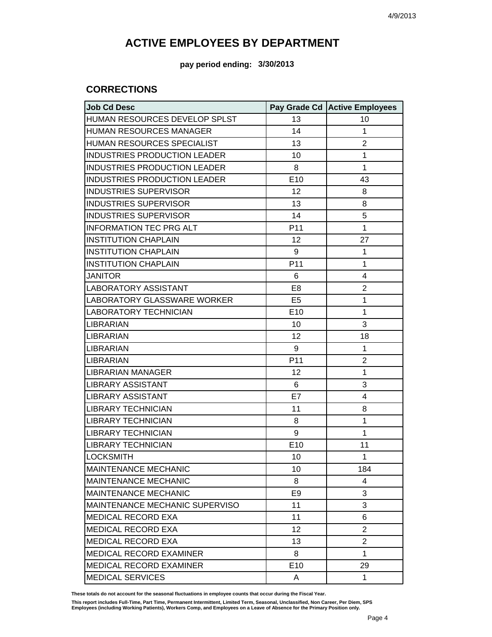**pay period ending: 3/30/2013**

### **CORRECTIONS**

| <b>Job Cd Desc</b>                  |                 | Pay Grade Cd   Active Employees |
|-------------------------------------|-----------------|---------------------------------|
| HUMAN RESOURCES DEVELOP SPLST       | 13              | 10                              |
| <b>HUMAN RESOURCES MANAGER</b>      | 14              | 1                               |
| HUMAN RESOURCES SPECIALIST          | 13              | 2                               |
| <b>INDUSTRIES PRODUCTION LEADER</b> | 10              | 1                               |
| <b>INDUSTRIES PRODUCTION LEADER</b> | 8               | 1                               |
| <b>INDUSTRIES PRODUCTION LEADER</b> | E10             | 43                              |
| <b>INDUSTRIES SUPERVISOR</b>        | 12              | 8                               |
| <b>INDUSTRIES SUPERVISOR</b>        | 13              | 8                               |
| <b>INDUSTRIES SUPERVISOR</b>        | 14              | 5                               |
| <b>INFORMATION TEC PRG ALT</b>      | P <sub>11</sub> | 1                               |
| <b>INSTITUTION CHAPLAIN</b>         | 12              | 27                              |
| <b>INSTITUTION CHAPLAIN</b>         | 9               | 1                               |
| <b>INSTITUTION CHAPLAIN</b>         | P11             | 1                               |
| <b>JANITOR</b>                      | 6               | 4                               |
| <b>LABORATORY ASSISTANT</b>         | E <sub>8</sub>  | 2                               |
| LABORATORY GLASSWARE WORKER         | E <sub>5</sub>  | 1                               |
| <b>LABORATORY TECHNICIAN</b>        | E10             | 1                               |
| LIBRARIAN                           | 10              | 3                               |
| <b>LIBRARIAN</b>                    | 12              | 18                              |
| <b>LIBRARIAN</b>                    | 9               | 1                               |
| <b>LIBRARIAN</b>                    | P11             | 2                               |
| LIBRARIAN MANAGER                   | 12              | 1                               |
| <b>LIBRARY ASSISTANT</b>            | 6               | 3                               |
| <b>LIBRARY ASSISTANT</b>            | E7              | 4                               |
| <b>LIBRARY TECHNICIAN</b>           | 11              | 8                               |
| <b>LIBRARY TECHNICIAN</b>           | 8               | 1                               |
| <b>LIBRARY TECHNICIAN</b>           | 9               | 1                               |
| <b>LIBRARY TECHNICIAN</b>           | E10             | 11                              |
| <b>LOCKSMITH</b>                    | 10              | 1                               |
| MAINTENANCE MECHANIC                | 10              | 184                             |
| <b>MAINTENANCE MECHANIC</b>         | 8               | 4                               |
| <b>MAINTENANCE MECHANIC</b>         | E9              | 3                               |
| MAINTENANCE MECHANIC SUPERVISO      | 11              | 3                               |
| <b>MEDICAL RECORD EXA</b>           | 11              | 6                               |
| MEDICAL RECORD EXA                  | 12              | 2                               |
| MEDICAL RECORD EXA                  | 13              | 2                               |
| <b>MEDICAL RECORD EXAMINER</b>      | 8               | 1                               |
| <b>MEDICAL RECORD EXAMINER</b>      | E <sub>10</sub> | 29                              |
| <b>MEDICAL SERVICES</b>             | A               | 1                               |

**These totals do not account for the seasonal fluctuations in employee counts that occur during the Fiscal Year.**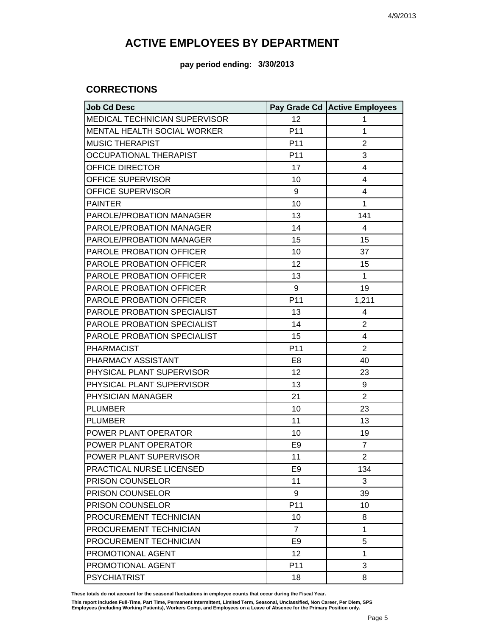**pay period ending: 3/30/2013**

### **CORRECTIONS**

| <b>Job Cd Desc</b>              |                 | Pay Grade Cd Active Employees |
|---------------------------------|-----------------|-------------------------------|
| MEDICAL TECHNICIAN SUPERVISOR   | 12              | 1                             |
| MENTAL HEALTH SOCIAL WORKER     | P <sub>11</sub> | 1                             |
| <b>MUSIC THERAPIST</b>          | P11             | $\overline{2}$                |
| <b>OCCUPATIONAL THERAPIST</b>   | P <sub>11</sub> | 3                             |
| OFFICE DIRECTOR                 | 17              | 4                             |
| OFFICE SUPERVISOR               | 10              | 4                             |
| OFFICE SUPERVISOR               | 9               | 4                             |
| <b>PAINTER</b>                  | 10              | 1                             |
| PAROLE/PROBATION MANAGER        | 13              | 141                           |
| PAROLE/PROBATION MANAGER        | 14              | 4                             |
| PAROLE/PROBATION MANAGER        | 15              | 15                            |
| PAROLE PROBATION OFFICER        | 10              | 37                            |
| PAROLE PROBATION OFFICER        | 12              | 15                            |
| <b>PAROLE PROBATION OFFICER</b> | 13              | $\mathbf{1}$                  |
| PAROLE PROBATION OFFICER        | 9               | 19                            |
| PAROLE PROBATION OFFICER        | P11             | 1,211                         |
| PAROLE PROBATION SPECIALIST     | 13              | 4                             |
| PAROLE PROBATION SPECIALIST     | 14              | $\overline{2}$                |
| PAROLE PROBATION SPECIALIST     | 15              | 4                             |
| <b>PHARMACIST</b>               | P11             | $\overline{2}$                |
| PHARMACY ASSISTANT              | E8              | 40                            |
| PHYSICAL PLANT SUPERVISOR       | 12              | 23                            |
| PHYSICAL PLANT SUPERVISOR       | 13              | 9                             |
| PHYSICIAN MANAGER               | 21              | $\overline{2}$                |
| <b>PLUMBER</b>                  | 10              | 23                            |
| <b>PLUMBER</b>                  | 11              | 13                            |
| POWER PLANT OPERATOR            | 10              | 19                            |
| POWER PLANT OPERATOR            | E9              | $\overline{7}$                |
| POWER PLANT SUPERVISOR          | 11              | $\overline{2}$                |
| PRACTICAL NURSE LICENSED        | E9              | 134                           |
| PRISON COUNSELOR                | 11              | 3                             |
| PRISON COUNSELOR                | 9               | 39                            |
| PRISON COUNSELOR                | P11             | 10                            |
| PROCUREMENT TECHNICIAN          | 10              | 8                             |
| PROCUREMENT TECHNICIAN          | $\overline{7}$  | 1                             |
| PROCUREMENT TECHNICIAN          | E <sub>9</sub>  | 5                             |
| PROMOTIONAL AGENT               | 12              | 1                             |
| PROMOTIONAL AGENT               | P11             | 3                             |
| <b>PSYCHIATRIST</b>             | 18              | 8                             |

**These totals do not account for the seasonal fluctuations in employee counts that occur during the Fiscal Year.**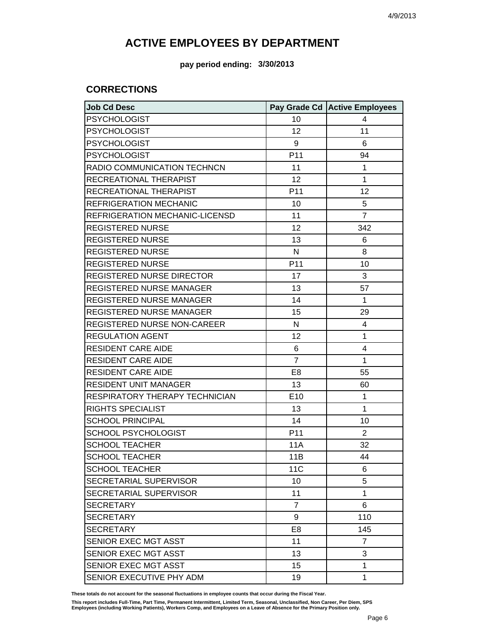**pay period ending: 3/30/2013**

### **CORRECTIONS**

| <b>Job Cd Desc</b>                 |                 | Pay Grade Cd Active Employees |
|------------------------------------|-----------------|-------------------------------|
| <b>PSYCHOLOGIST</b>                | 10              | 4                             |
| <b>PSYCHOLOGIST</b>                | 12              | 11                            |
| <b>PSYCHOLOGIST</b>                | 9               | 6                             |
| <b>PSYCHOLOGIST</b>                | P <sub>11</sub> | 94                            |
| RADIO COMMUNICATION TECHNCN        | 11              | 1                             |
| RECREATIONAL THERAPIST             | 12              | 1                             |
| RECREATIONAL THERAPIST             | P <sub>11</sub> | 12                            |
| <b>REFRIGERATION MECHANIC</b>      | 10              | 5                             |
| REFRIGERATION MECHANIC-LICENSD     | 11              | $\overline{7}$                |
| <b>REGISTERED NURSE</b>            | 12              | 342                           |
| <b>REGISTERED NURSE</b>            | 13              | 6                             |
| <b>REGISTERED NURSE</b>            | N               | 8                             |
| <b>REGISTERED NURSE</b>            | P <sub>11</sub> | 10                            |
| <b>REGISTERED NURSE DIRECTOR</b>   | 17              | 3                             |
| REGISTERED NURSE MANAGER           | 13              | 57                            |
| <b>REGISTERED NURSE MANAGER</b>    | 14              | 1                             |
| <b>REGISTERED NURSE MANAGER</b>    | 15              | 29                            |
| <b>REGISTERED NURSE NON-CAREER</b> | N               | 4                             |
| <b>REGULATION AGENT</b>            | 12              | 1                             |
| <b>RESIDENT CARE AIDE</b>          | 6               | 4                             |
| <b>RESIDENT CARE AIDE</b>          | $\overline{7}$  | 1                             |
| <b>RESIDENT CARE AIDE</b>          | E <sub>8</sub>  | 55                            |
| <b>RESIDENT UNIT MANAGER</b>       | 13              | 60                            |
| RESPIRATORY THERAPY TECHNICIAN     | E10             | 1                             |
| <b>RIGHTS SPECIALIST</b>           | 13              | 1                             |
| <b>SCHOOL PRINCIPAL</b>            | 14              | 10                            |
| <b>SCHOOL PSYCHOLOGIST</b>         | P <sub>11</sub> | 2                             |
| <b>SCHOOL TEACHER</b>              | 11A             | 32                            |
| <b>SCHOOL TEACHER</b>              | 11B             | 44                            |
| <b>SCHOOL TEACHER</b>              | 11 <sub>C</sub> | 6                             |
| SECRETARIAL SUPERVISOR             | 10              | 5                             |
| SECRETARIAL SUPERVISOR             | 11              | 1                             |
| <b>SECRETARY</b>                   | $\overline{7}$  | 6                             |
| <b>SECRETARY</b>                   | 9               | 110                           |
| <b>SECRETARY</b>                   | E <sub>8</sub>  | 145                           |
| SENIOR EXEC MGT ASST               | 11              | 7                             |
| SENIOR EXEC MGT ASST               | 13              | 3                             |
| SENIOR EXEC MGT ASST               | 15              | 1                             |
| SENIOR EXECUTIVE PHY ADM           | 19              | 1                             |

**These totals do not account for the seasonal fluctuations in employee counts that occur during the Fiscal Year.**